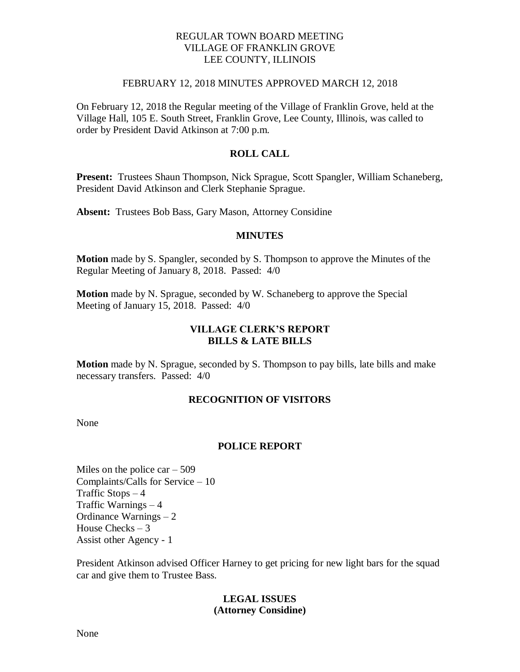## REGULAR TOWN BOARD MEETING VILLAGE OF FRANKLIN GROVE LEE COUNTY, ILLINOIS

#### FEBRUARY 12, 2018 MINUTES APPROVED MARCH 12, 2018

On February 12, 2018 the Regular meeting of the Village of Franklin Grove, held at the Village Hall, 105 E. South Street, Franklin Grove, Lee County, Illinois, was called to order by President David Atkinson at 7:00 p.m.

# **ROLL CALL**

**Present:** Trustees Shaun Thompson, Nick Sprague, Scott Spangler, William Schaneberg, President David Atkinson and Clerk Stephanie Sprague.

**Absent:** Trustees Bob Bass, Gary Mason, Attorney Considine

#### **MINUTES**

**Motion** made by S. Spangler, seconded by S. Thompson to approve the Minutes of the Regular Meeting of January 8, 2018. Passed: 4/0

**Motion** made by N. Sprague, seconded by W. Schaneberg to approve the Special Meeting of January 15, 2018. Passed: 4/0

# **VILLAGE CLERK'S REPORT BILLS & LATE BILLS**

**Motion** made by N. Sprague, seconded by S. Thompson to pay bills, late bills and make necessary transfers. Passed: 4/0

## **RECOGNITION OF VISITORS**

None

## **POLICE REPORT**

Miles on the police  $car - 509$ Complaints/Calls for Service – 10 Traffic Stops – 4 Traffic Warnings – 4 Ordinance Warnings – 2 House Checks  $-3$ Assist other Agency - 1

President Atkinson advised Officer Harney to get pricing for new light bars for the squad car and give them to Trustee Bass.

## **LEGAL ISSUES (Attorney Considine)**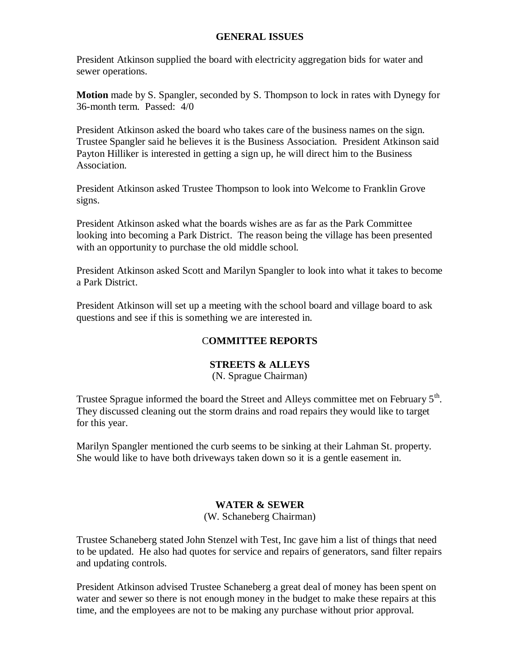#### **GENERAL ISSUES**

President Atkinson supplied the board with electricity aggregation bids for water and sewer operations.

**Motion** made by S. Spangler, seconded by S. Thompson to lock in rates with Dynegy for 36-month term. Passed: 4/0

President Atkinson asked the board who takes care of the business names on the sign. Trustee Spangler said he believes it is the Business Association. President Atkinson said Payton Hilliker is interested in getting a sign up, he will direct him to the Business Association.

President Atkinson asked Trustee Thompson to look into Welcome to Franklin Grove signs.

President Atkinson asked what the boards wishes are as far as the Park Committee looking into becoming a Park District. The reason being the village has been presented with an opportunity to purchase the old middle school.

President Atkinson asked Scott and Marilyn Spangler to look into what it takes to become a Park District.

President Atkinson will set up a meeting with the school board and village board to ask questions and see if this is something we are interested in.

# C**OMMITTEE REPORTS**

## **STREETS & ALLEYS**

(N. Sprague Chairman)

Trustee Sprague informed the board the Street and Alleys committee met on February  $5<sup>th</sup>$ . They discussed cleaning out the storm drains and road repairs they would like to target for this year.

Marilyn Spangler mentioned the curb seems to be sinking at their Lahman St. property. She would like to have both driveways taken down so it is a gentle easement in.

## **WATER & SEWER**

(W. Schaneberg Chairman)

Trustee Schaneberg stated John Stenzel with Test, Inc gave him a list of things that need to be updated. He also had quotes for service and repairs of generators, sand filter repairs and updating controls.

President Atkinson advised Trustee Schaneberg a great deal of money has been spent on water and sewer so there is not enough money in the budget to make these repairs at this time, and the employees are not to be making any purchase without prior approval.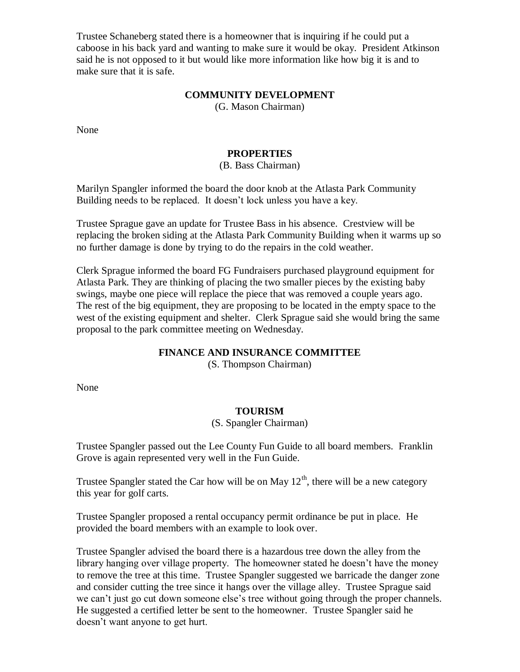Trustee Schaneberg stated there is a homeowner that is inquiring if he could put a caboose in his back yard and wanting to make sure it would be okay. President Atkinson said he is not opposed to it but would like more information like how big it is and to make sure that it is safe.

#### **COMMUNITY DEVELOPMENT**

(G. Mason Chairman)

None

#### **PROPERTIES**

#### (B. Bass Chairman)

Marilyn Spangler informed the board the door knob at the Atlasta Park Community Building needs to be replaced. It doesn't lock unless you have a key.

Trustee Sprague gave an update for Trustee Bass in his absence. Crestview will be replacing the broken siding at the Atlasta Park Community Building when it warms up so no further damage is done by trying to do the repairs in the cold weather.

Clerk Sprague informed the board FG Fundraisers purchased playground equipment for Atlasta Park. They are thinking of placing the two smaller pieces by the existing baby swings, maybe one piece will replace the piece that was removed a couple years ago. The rest of the big equipment, they are proposing to be located in the empty space to the west of the existing equipment and shelter. Clerk Sprague said she would bring the same proposal to the park committee meeting on Wednesday.

## **FINANCE AND INSURANCE COMMITTEE**

(S. Thompson Chairman)

None

# **TOURISM**

#### (S. Spangler Chairman)

Trustee Spangler passed out the Lee County Fun Guide to all board members. Franklin Grove is again represented very well in the Fun Guide.

Trustee Spangler stated the Car how will be on May  $12<sup>th</sup>$ , there will be a new category this year for golf carts.

Trustee Spangler proposed a rental occupancy permit ordinance be put in place. He provided the board members with an example to look over.

Trustee Spangler advised the board there is a hazardous tree down the alley from the library hanging over village property. The homeowner stated he doesn't have the money to remove the tree at this time. Trustee Spangler suggested we barricade the danger zone and consider cutting the tree since it hangs over the village alley. Trustee Sprague said we can't just go cut down someone else's tree without going through the proper channels. He suggested a certified letter be sent to the homeowner. Trustee Spangler said he doesn't want anyone to get hurt.